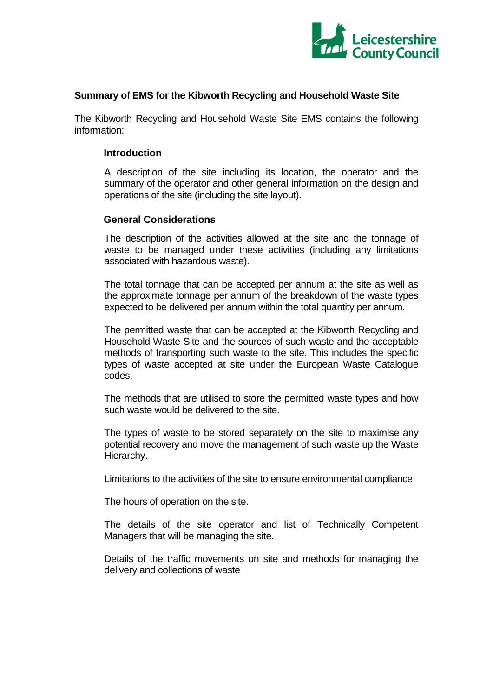

### **Summary of EMS for the Kibworth Recycling and Household Waste Site**

The Kibworth Recycling and Household Waste Site EMS contains the following information:

#### **Introduction**

A description of the site including its location, the operator and the summary of the operator and other general information on the design and operations of the site (including the site layout).

#### **General Considerations**

The description of the activities allowed at the site and the tonnage of waste to be managed under these activities (including any limitations associated with hazardous waste).

The total tonnage that can be accepted per annum at the site as well as the approximate tonnage per annum of the breakdown of the waste types expected to be delivered per annum within the total quantity per annum.

The permitted waste that can be accepted at the Kibworth Recycling and Household Waste Site and the sources of such waste and the acceptable methods of transporting such waste to the site. This includes the specific types of waste accepted at site under the European Waste Catalogue codes.

The methods that are utilised to store the permitted waste types and how such waste would be delivered to the site.

The types of waste to be stored separately on the site to maximise any potential recovery and move the management of such waste up the Waste Hierarchy.

Limitations to the activities of the site to ensure environmental compliance.

The hours of operation on the site.

The details of the site operator and list of Technically Competent Managers that will be managing the site.

Details of the traffic movements on site and methods for managing the delivery and collections of waste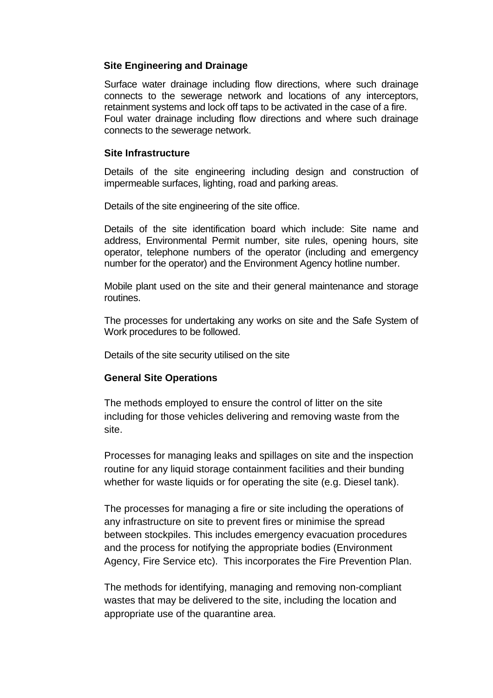## **Site Engineering and Drainage**

Surface water drainage including flow directions, where such drainage connects to the sewerage network and locations of any interceptors, retainment systems and lock off taps to be activated in the case of a fire. Foul water drainage including flow directions and where such drainage connects to the sewerage network.

### **Site Infrastructure**

Details of the site engineering including design and construction of impermeable surfaces, lighting, road and parking areas.

Details of the site engineering of the site office.

Details of the site identification board which include: Site name and address, Environmental Permit number, site rules, opening hours, site operator, telephone numbers of the operator (including and emergency number for the operator) and the Environment Agency hotline number.

Mobile plant used on the site and their general maintenance and storage routines.

The processes for undertaking any works on site and the Safe System of Work procedures to be followed.

Details of the site security utilised on the site

# **General Site Operations**

The methods employed to ensure the control of litter on the site including for those vehicles delivering and removing waste from the site.

Processes for managing leaks and spillages on site and the inspection routine for any liquid storage containment facilities and their bunding whether for waste liquids or for operating the site (e.g. Diesel tank).

The processes for managing a fire or site including the operations of any infrastructure on site to prevent fires or minimise the spread between stockpiles. This includes emergency evacuation procedures and the process for notifying the appropriate bodies (Environment Agency, Fire Service etc). This incorporates the Fire Prevention Plan.

The methods for identifying, managing and removing non-compliant wastes that may be delivered to the site, including the location and appropriate use of the quarantine area.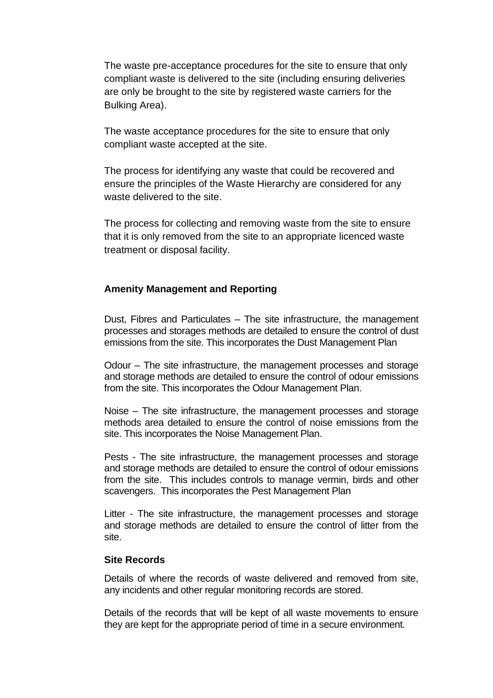The waste pre-acceptance procedures for the site to ensure that only compliant waste is delivered to the site (including ensuring deliveries are only be brought to the site by registered waste carriers for the Bulking Area).

The waste acceptance procedures for the site to ensure that only compliant waste accepted at the site.

The process for identifying any waste that could be recovered and ensure the principles of the Waste Hierarchy are considered for any waste delivered to the site.

The process for collecting and removing waste from the site to ensure that it is only removed from the site to an appropriate licenced waste treatment or disposal facility.

## **Amenity Management and Reporting**

Dust, Fibres and Particulates – The site infrastructure, the management processes and storages methods are detailed to ensure the control of dust emissions from the site. This incorporates the Dust Management Plan

Odour – The site infrastructure, the management processes and storage and storage methods are detailed to ensure the control of odour emissions from the site. This incorporates the Odour Management Plan.

Noise – The site infrastructure, the management processes and storage methods area detailed to ensure the control of noise emissions from the site. This incorporates the Noise Management Plan.

Pests - The site infrastructure, the management processes and storage and storage methods are detailed to ensure the control of odour emissions from the site. This includes controls to manage vermin, birds and other scavengers. This incorporates the Pest Management Plan

Litter - The site infrastructure, the management processes and storage and storage methods are detailed to ensure the control of litter from the site.

### **Site Records**

Details of where the records of waste delivered and removed from site, any incidents and other regular monitoring records are stored.

Details of the records that will be kept of all waste movements to ensure they are kept for the appropriate period of time in a secure environment.